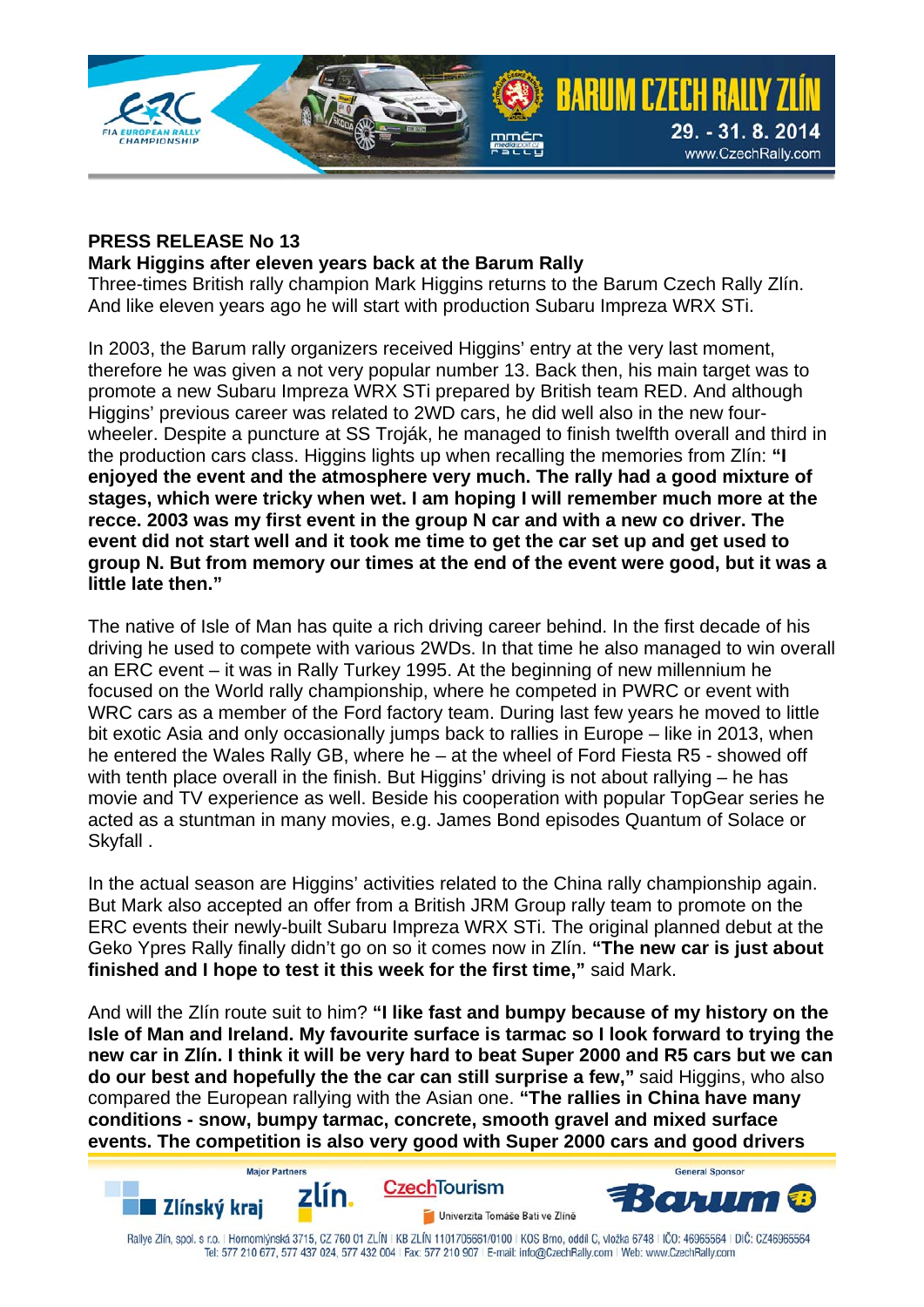

## **PRESS RELEASE No 13**

## **Mark Higgins after eleven years back at the Barum Rally**

Three-times British rally champion Mark Higgins returns to the Barum Czech Rally Zlín. And like eleven years ago he will start with production Subaru Impreza WRX STi.

In 2003, the Barum rally organizers received Higgins' entry at the very last moment, therefore he was given a not very popular number 13. Back then, his main target was to promote a new Subaru Impreza WRX STi prepared by British team RED. And although Higgins' previous career was related to 2WD cars, he did well also in the new fourwheeler. Despite a puncture at SS Troják, he managed to finish twelfth overall and third in the production cars class. Higgins lights up when recalling the memories from Zlín: **"I enjoyed the event and the atmosphere very much. The rally had a good mixture of stages, which were tricky when wet. I am hoping I will remember much more at the recce. 2003 was my first event in the group N car and with a new co driver. The event did not start well and it took me time to get the car set up and get used to group N. But from memory our times at the end of the event were good, but it was a little late then."** 

The native of Isle of Man has quite a rich driving career behind. In the first decade of his driving he used to compete with various 2WDs. In that time he also managed to win overall an ERC event – it was in Rally Turkey 1995. At the beginning of new millennium he focused on the World rally championship, where he competed in PWRC or event with WRC cars as a member of the Ford factory team. During last few years he moved to little bit exotic Asia and only occasionally jumps back to rallies in Europe – like in 2013, when he entered the Wales Rally GB, where he – at the wheel of Ford Fiesta R5 - showed off with tenth place overall in the finish. But Higgins' driving is not about rallying – he has movie and TV experience as well. Beside his cooperation with popular TopGear series he acted as a stuntman in many movies, e.g. James Bond episodes Quantum of Solace or Skyfall .

In the actual season are Higgins' activities related to the China rally championship again. But Mark also accepted an offer from a British JRM Group rally team to promote on the ERC events their newly-built Subaru Impreza WRX STi. The original planned debut at the Geko Ypres Rally finally didn't go on so it comes now in Zlín. **"The new car is just about finished and I hope to test it this week for the first time,"** said Mark.

And will the Zlín route suit to him? **"I like fast and bumpy because of my history on the Isle of Man and Ireland. My favourite surface is tarmac so I look forward to trying the new car in Zlín. I think it will be very hard to beat Super 2000 and R5 cars but we can do our best and hopefully the the car can still surprise a few,"** said Higgins, who also compared the European rallying with the Asian one. **"The rallies in China have many conditions - snow, bumpy tarmac, concrete, smooth gravel and mixed surface events. The competition is also very good with Super 2000 cars and good drivers** 



**Maior Partner**